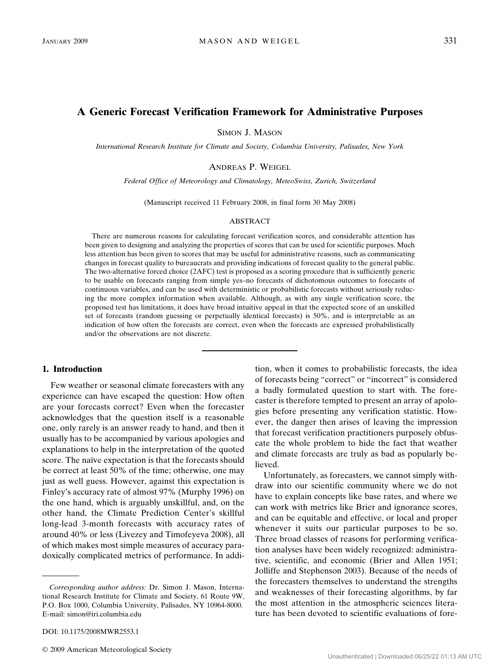# **A Generic Forecast Verification Framework for Administrative Purposes**

SIMON J. MASON

*International Research Institute for Climate and Society, Columbia University, Palisades, New York*

#### ANDREAS P. WEIGEL

*Federal Office of Meteorology and Climatology, MeteoSwiss, Zurich, Switzerland*

(Manuscript received 11 February 2008, in final form 30 May 2008)

#### ABSTRACT

There are numerous reasons for calculating forecast verification scores, and considerable attention has been given to designing and analyzing the properties of scores that can be used for scientific purposes. Much less attention has been given to scores that may be useful for administrative reasons, such as communicating changes in forecast quality to bureaucrats and providing indications of forecast quality to the general public. The two-alternative forced choice (2AFC) test is proposed as a scoring procedure that is sufficiently generic to be usable on forecasts ranging from simple yes–no forecasts of dichotomous outcomes to forecasts of continuous variables, and can be used with deterministic or probabilistic forecasts without seriously reducing the more complex information when available. Although, as with any single verification score, the proposed test has limitations, it does have broad intuitive appeal in that the expected score of an unskilled set of forecasts (random guessing or perpetually identical forecasts) is 50%, and is interpretable as an indication of how often the forecasts are correct, even when the forecasts are expressed probabilistically and/or the observations are not discrete.

### **1. Introduction**

Few weather or seasonal climate forecasters with any experience can have escaped the question: How often are your forecasts correct? Even when the forecaster acknowledges that the question itself is a reasonable one, only rarely is an answer ready to hand, and then it usually has to be accompanied by various apologies and explanations to help in the interpretation of the quoted score. The naïve expectation is that the forecasts should be correct at least 50% of the time; otherwise, one may just as well guess. However, against this expectation is Finley's accuracy rate of almost 97% (Murphy 1996) on the one hand, which is arguably unskillful, and, on the other hand, the Climate Prediction Center's skillful long-lead 3-month forecasts with accuracy rates of around 40% or less (Livezey and Timofeyeva 2008), all of which makes most simple measures of accuracy paradoxically complicated metrics of performance. In addi-

*Corresponding author address:* Dr. Simon J. Mason, International Research Institute for Climate and Society, 61 Route 9W, P.O. Box 1000, Columbia University, Palisades, NY 10964-8000. E-mail: simon@iri.columbia.edu

DOI: 10.1175/2008MWR2553.1

© 2009 American Meteorological Society

tion, when it comes to probabilistic forecasts, the idea of forecasts being "correct" or "incorrect" is considered a badly formulated question to start with. The forecaster is therefore tempted to present an array of apologies before presenting any verification statistic. However, the danger then arises of leaving the impression that forecast verification practitioners purposely obfuscate the whole problem to hide the fact that weather and climate forecasts are truly as bad as popularly believed.

Unfortunately, as forecasters, we cannot simply withdraw into our scientific community where we do not have to explain concepts like base rates, and where we can work with metrics like Brier and ignorance scores, and can be equitable and effective, or local and proper whenever it suits our particular purposes to be so. Three broad classes of reasons for performing verification analyses have been widely recognized: administrative, scientific, and economic (Brier and Allen 1951; Jolliffe and Stephenson 2003). Because of the needs of the forecasters themselves to understand the strengths and weaknesses of their forecasting algorithms, by far the most attention in the atmospheric sciences literature has been devoted to scientific evaluations of fore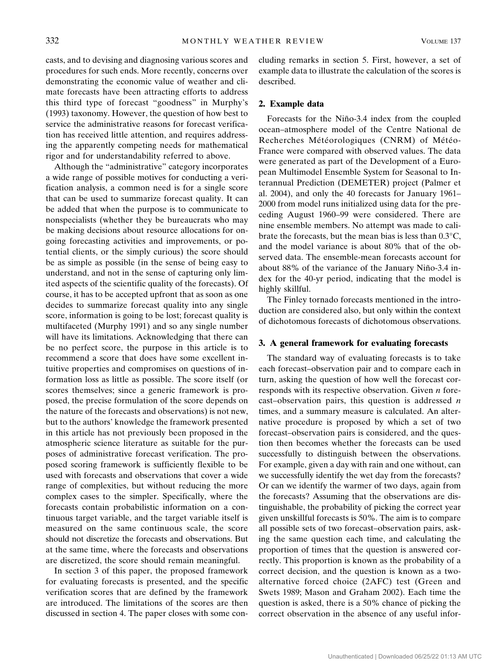casts, and to devising and diagnosing various scores and procedures for such ends. More recently, concerns over demonstrating the economic value of weather and climate forecasts have been attracting efforts to address this third type of forecast "goodness" in Murphy's (1993) taxonomy. However, the question of how best to service the administrative reasons for forecast verification has received little attention, and requires addressing the apparently competing needs for mathematical rigor and for understandability referred to above.

Although the "administrative" category incorporates a wide range of possible motives for conducting a verification analysis, a common need is for a single score that can be used to summarize forecast quality. It can be added that when the purpose is to communicate to nonspecialists (whether they be bureaucrats who may be making decisions about resource allocations for ongoing forecasting activities and improvements, or potential clients, or the simply curious) the score should be as simple as possible (in the sense of being easy to understand, and not in the sense of capturing only limited aspects of the scientific quality of the forecasts). Of course, it has to be accepted upfront that as soon as one decides to summarize forecast quality into any single score, information is going to be lost; forecast quality is multifaceted (Murphy 1991) and so any single number will have its limitations. Acknowledging that there can be no perfect score, the purpose in this article is to recommend a score that does have some excellent intuitive properties and compromises on questions of information loss as little as possible. The score itself (or scores themselves; since a generic framework is proposed, the precise formulation of the score depends on the nature of the forecasts and observations) is not new, but to the authors' knowledge the framework presented in this article has not previously been proposed in the atmospheric science literature as suitable for the purposes of administrative forecast verification. The proposed scoring framework is sufficiently flexible to be used with forecasts and observations that cover a wide range of complexities, but without reducing the more complex cases to the simpler. Specifically, where the forecasts contain probabilistic information on a continuous target variable, and the target variable itself is measured on the same continuous scale, the score should not discretize the forecasts and observations. But at the same time, where the forecasts and observations are discretized, the score should remain meaningful.

In section 3 of this paper, the proposed framework for evaluating forecasts is presented, and the specific verification scores that are defined by the framework are introduced. The limitations of the scores are then discussed in section 4. The paper closes with some concluding remarks in section 5. First, however, a set of example data to illustrate the calculation of the scores is described.

## **2. Example data**

Forecasts for the Niño-3.4 index from the coupled ocean–atmosphere model of the Centre National de Recherches Météorologiques (CNRM) of Météo-France were compared with observed values. The data were generated as part of the Development of a European Multimodel Ensemble System for Seasonal to Interannual Prediction (DEMETER) project (Palmer et al. 2004), and only the 40 forecasts for January 1961– 2000 from model runs initialized using data for the preceding August 1960–99 were considered. There are nine ensemble members. No attempt was made to calibrate the forecasts, but the mean bias is less than 0.3°C, and the model variance is about 80% that of the observed data. The ensemble-mean forecasts account for about 88% of the variance of the January Niño-3.4 index for the 40-yr period, indicating that the model is highly skillful.

The Finley tornado forecasts mentioned in the introduction are considered also, but only within the context of dichotomous forecasts of dichotomous observations.

### **3. A general framework for evaluating forecasts**

The standard way of evaluating forecasts is to take each forecast–observation pair and to compare each in turn, asking the question of how well the forecast corresponds with its respective observation. Given *n* forecast–observation pairs, this question is addressed *n* times, and a summary measure is calculated. An alternative procedure is proposed by which a set of two forecast–observation pairs is considered, and the question then becomes whether the forecasts can be used successfully to distinguish between the observations. For example, given a day with rain and one without, can we successfully identify the wet day from the forecasts? Or can we identify the warmer of two days, again from the forecasts? Assuming that the observations are distinguishable, the probability of picking the correct year given unskillful forecasts is 50%. The aim is to compare all possible sets of two forecast–observation pairs, asking the same question each time, and calculating the proportion of times that the question is answered correctly. This proportion is known as the probability of a correct decision, and the question is known as a twoalternative forced choice (2AFC) test (Green and Swets 1989; Mason and Graham 2002). Each time the question is asked, there is a 50% chance of picking the correct observation in the absence of any useful infor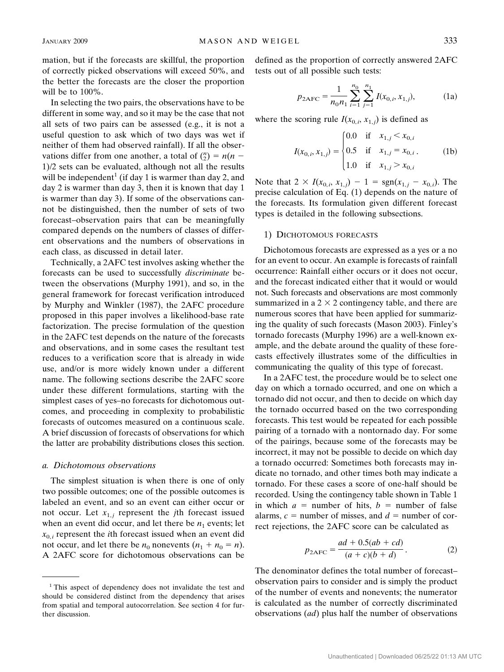mation, but if the forecasts are skillful, the proportion of correctly picked observations will exceed 50%, and the better the forecasts are the closer the proportion will be to 100%.

In selecting the two pairs, the observations have to be different in some way, and so it may be the case that not all sets of two pairs can be assessed (e.g., it is not a useful question to ask which of two days was wet if neither of them had observed rainfall). If all the observations differ from one another, a total of  $\binom{n}{2} = n(n - 1)$ 1)/2 sets can be evaluated, although not all the results will be independent<sup>1</sup> (if day 1 is warmer than day 2, and day 2 is warmer than day 3, then it is known that day 1 is warmer than day 3). If some of the observations cannot be distinguished, then the number of sets of two forecast–observation pairs that can be meaningfully compared depends on the numbers of classes of different observations and the numbers of observations in each class, as discussed in detail later.

Technically, a 2AFC test involves asking whether the forecasts can be used to successfully *discriminate* between the observations (Murphy 1991), and so, in the general framework for forecast verification introduced by Murphy and Winkler (1987), the 2AFC procedure proposed in this paper involves a likelihood-base rate factorization. The precise formulation of the question in the 2AFC test depends on the nature of the forecasts and observations, and in some cases the resultant test reduces to a verification score that is already in wide use, and/or is more widely known under a different name. The following sections describe the 2AFC score under these different formulations, starting with the simplest cases of yes–no forecasts for dichotomous outcomes, and proceeding in complexity to probabilistic forecasts of outcomes measured on a continuous scale. A brief discussion of forecasts of observations for which the latter are probability distributions closes this section.

### *a. Dichotomous observations*

The simplest situation is when there is one of only two possible outcomes; one of the possible outcomes is labeled an event, and so an event can either occur or not occur. Let  $x_{1,i}$  represent the *j*th forecast issued when an event did occur, and let there be  $n_1$  events; let  $x_{0,i}$  represent the *i*th forecast issued when an event did not occur, and let there be  $n_0$  nonevents  $(n_1 + n_0 = n)$ . A 2AFC score for dichotomous observations can be

defined as the proportion of correctly answered 2AFC tests out of all possible such tests:

$$
p_{2AFC} = \frac{1}{n_0 n_1} \sum_{i=1}^{n_0} \sum_{j=1}^{n_1} I(x_{0,i}, x_{1,j}),
$$
 (1a)

where the scoring rule  $I(x_{0,i}, x_{1,j})$  is defined as

$$
I(x_{0,i}, x_{1,j}) = \begin{cases} 0.0 & \text{if } x_{1,j} < x_{0,i} \\ 0.5 & \text{if } x_{1,j} = x_{0,i} \\ 1.0 & \text{if } x_{1,j} > x_{0,i} \end{cases} \tag{1b}
$$

Note that  $2 \times I(x_{0,i}, x_{1,j}) - 1 = \text{sgn}(x_{1,j} - x_{0,i})$ . The precise calculation of Eq. (1) depends on the nature of the forecasts. Its formulation given different forecast types is detailed in the following subsections.

#### 1) DICHOTOMOUS FORECASTS

Dichotomous forecasts are expressed as a yes or a no for an event to occur. An example is forecasts of rainfall occurrence: Rainfall either occurs or it does not occur, and the forecast indicated either that it would or would not. Such forecasts and observations are most commonly summarized in a  $2 \times 2$  contingency table, and there are numerous scores that have been applied for summarizing the quality of such forecasts (Mason 2003). Finley's tornado forecasts (Murphy 1996) are a well-known example, and the debate around the quality of these forecasts effectively illustrates some of the difficulties in communicating the quality of this type of forecast.

In a 2AFC test, the procedure would be to select one day on which a tornado occurred, and one on which a tornado did not occur, and then to decide on which day the tornado occurred based on the two corresponding forecasts. This test would be repeated for each possible pairing of a tornado with a nontornado day. For some of the pairings, because some of the forecasts may be incorrect, it may not be possible to decide on which day a tornado occurred: Sometimes both forecasts may indicate no tornado, and other times both may indicate a tornado. For these cases a score of one-half should be recorded. Using the contingency table shown in Table 1 in which  $a =$  number of hits,  $b =$  number of false alarms,  $c =$  number of misses, and  $d =$  number of correct rejections, the 2AFC score can be calculated as

$$
p_{2\text{AFC}} = \frac{ad + 0.5(ab + cd)}{(a + c)(b + d)}.
$$
 (2)

The denominator defines the total number of forecast– observation pairs to consider and is simply the product of the number of events and nonevents; the numerator is calculated as the number of correctly discriminated observations (*ad*) plus half the number of observations

<sup>&</sup>lt;sup>1</sup> This aspect of dependency does not invalidate the test and should be considered distinct from the dependency that arises from spatial and temporal autocorrelation. See section 4 for further discussion.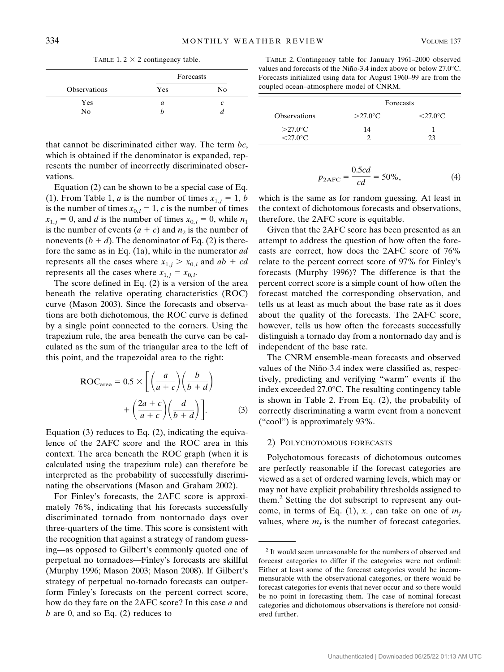TABLE 1.2  $\times$  2 contingency table.

|              | Forecasts |    |
|--------------|-----------|----|
| Observations | Yes       | No |
| Yes          | a         |    |
| No           |           |    |

that cannot be discriminated either way. The term *bc*, which is obtained if the denominator is expanded, represents the number of incorrectly discriminated observations.

Equation (2) can be shown to be a special case of Eq. (1). From Table 1, *a* is the number of times  $x_{1,i} = 1$ , *b* is the number of times  $x_{0,i} = 1$ , *c* is the number of times  $x_{1,i} = 0$ , and *d* is the number of times  $x_{0,i} = 0$ , while  $n_1$ is the number of events  $(a + c)$  and  $n_2$  is the number of nonevents  $(b + d)$ . The denominator of Eq. (2) is therefore the same as in Eq. (1a), while in the numerator *ad* represents all the cases where  $x_{1,i} > x_{0,i}$  and  $ab + cd$ represents all the cases where  $x_{1,j} = x_{0,i}$ .

The score defined in Eq. (2) is a version of the area beneath the relative operating characteristics (ROC) curve (Mason 2003). Since the forecasts and observations are both dichotomous, the ROC curve is defined by a single point connected to the corners. Using the trapezium rule, the area beneath the curve can be calculated as the sum of the triangular area to the left of this point, and the trapezoidal area to the right:

$$
ROCarea = 0.5 \times \left[ \left( \frac{a}{a+c} \right) \left( \frac{b}{b+d} \right) + \left( \frac{2a+c}{a+c} \right) \left( \frac{d}{b+d} \right) \right].
$$
 (3)

Equation  $(3)$  reduces to Eq.  $(2)$ , indicating the equivalence of the 2AFC score and the ROC area in this context. The area beneath the ROC graph (when it is calculated using the trapezium rule) can therefore be interpreted as the probability of successfully discriminating the observations (Mason and Graham 2002).

For Finley's forecasts, the 2AFC score is approximately 76%, indicating that his forecasts successfully discriminated tornado from nontornado days over three-quarters of the time. This score is consistent with the recognition that against a strategy of random guessing—as opposed to Gilbert's commonly quoted one of perpetual no tornadoes—Finley's forecasts are skillful (Murphy 1996; Mason 2003; Mason 2008). If Gilbert's strategy of perpetual no-tornado forecasts can outperform Finley's forecasts on the percent correct score, how do they fare on the 2AFC score? In this case *a* and *b* are 0, and so Eq. (2) reduces to

| TABLE 2. Contingency table for January 1961–2000 observed                   |  |
|-----------------------------------------------------------------------------|--|
| values and forecasts of the Niño-3.4 index above or below $27.0^{\circ}$ C. |  |
| Forecasts initialized using data for August 1960–99 are from the            |  |
| coupled ocean–atmosphere model of CNRM.                                     |  |

|                     | <b>Forecasts</b> |                          |  |
|---------------------|------------------|--------------------------|--|
| <b>Observations</b> | $>27.0$ °C       | $\leq$ 27.0 $^{\circ}$ C |  |
| $>27.0$ °C          | 14               |                          |  |
| $\leq 27.0$ °C      |                  | 23                       |  |

$$
p_{2AFC} = \frac{0.5cd}{cd} = 50\%,\tag{4}
$$

which is the same as for random guessing. At least in the context of dichotomous forecasts and observations, therefore, the 2AFC score is equitable.

Given that the 2AFC score has been presented as an attempt to address the question of how often the forecasts are correct, how does the 2AFC score of 76% relate to the percent correct score of 97% for Finley's forecasts (Murphy 1996)? The difference is that the percent correct score is a simple count of how often the forecast matched the corresponding observation, and tells us at least as much about the base rate as it does about the quality of the forecasts. The 2AFC score, however, tells us how often the forecasts successfully distinguish a tornado day from a nontornado day and is independent of the base rate.

The CNRM ensemble-mean forecasts and observed values of the Niño-3.4 index were classified as, respectively, predicting and verifying "warm" events if the index exceeded 27.0°C. The resulting contingency table is shown in Table 2. From Eq. (2), the probability of correctly discriminating a warm event from a nonevent ("cool") is approximately 93%.

#### 2) POLYCHOTOMOUS FORECASTS

Polychotomous forecasts of dichotomous outcomes are perfectly reasonable if the forecast categories are viewed as a set of ordered warning levels, which may or may not have explicit probability thresholds assigned to them.<sup>2</sup> Setting the dot subscript to represent any outcome, in terms of Eq. (1),  $x_{i,i}$  can take on one of  $m_f$ values, where  $m_f$  is the number of forecast categories.

<sup>2</sup> It would seem unreasonable for the numbers of observed and forecast categories to differ if the categories were not ordinal: Either at least some of the forecast categories would be incommensurable with the observational categories, or there would be forecast categories for events that never occur and so there would be no point in forecasting them. The case of nominal forecast categories and dichotomous observations is therefore not considered further.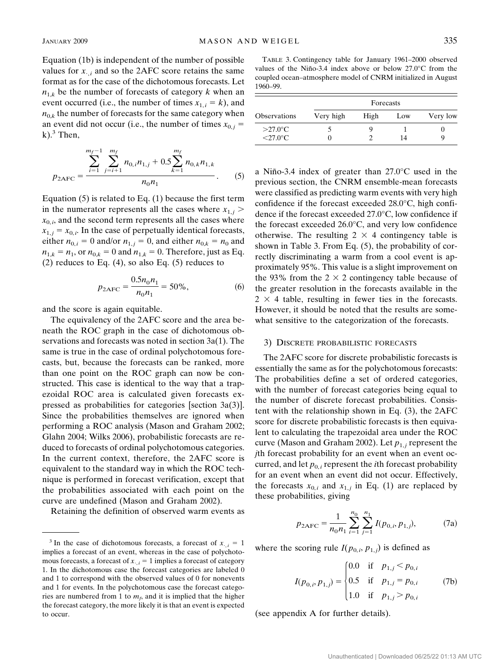Equation (1b) is independent of the number of possible values for  $x_{\cdot,i}$  and so the 2AFC score retains the same format as for the case of the dichotomous forecasts. Let  $n_{1,k}$  be the number of forecasts of category *k* when an event occurred (i.e., the number of times  $x_{1,i} = k$ ), and  $n_{0,k}$  the number of forecasts for the same category when an event did not occur (i.e., the number of times  $x_{0,i}$  = k). $3$  Then,

$$
p_{2\text{AFC}} = \frac{\sum_{i=1}^{m_f-1} \sum_{j=i+1}^{m_f} n_{0,i} n_{1,j} + 0.5 \sum_{k=1}^{m_f} n_{0,k} n_{1,k}}{n_0 n_1}.
$$
 (5)

Equation (5) is related to Eq. (1) because the first term in the numerator represents all the cases where  $x_{1,i}$  >  $x_{0,i}$ , and the second term represents all the cases where  $x_{1,j} = x_{0,i}$ . In the case of perpetually identical forecasts, either  $n_{0,i} = 0$  and/or  $n_{1,j} = 0$ , and either  $n_{0,k} = n_0$  and  $n_{1,k} = n_1$ , or  $n_{0,k} = 0$  and  $n_{1,k} = 0$ . Therefore, just as Eq. (2) reduces to Eq.  $(4)$ , so also Eq.  $(5)$  reduces to

$$
p_{2\text{AFC}} = \frac{0.5n_0n_1}{n_0n_1} = 50\%,\tag{6}
$$

and the score is again equitable.

The equivalency of the 2AFC score and the area beneath the ROC graph in the case of dichotomous observations and forecasts was noted in section 3a(1). The same is true in the case of ordinal polychotomous forecasts, but, because the forecasts can be ranked, more than one point on the ROC graph can now be constructed. This case is identical to the way that a trapezoidal ROC area is calculated given forecasts expressed as probabilities for categories [section 3a(3)]. Since the probabilities themselves are ignored when performing a ROC analysis (Mason and Graham 2002; Glahn 2004; Wilks 2006), probabilistic forecasts are reduced to forecasts of ordinal polychotomous categories. In the current context, therefore, the 2AFC score is equivalent to the standard way in which the ROC technique is performed in forecast verification, except that the probabilities associated with each point on the curve are undefined (Mason and Graham 2002).

Retaining the definition of observed warm events as

TABLE 3. Contingency table for January 1961–2000 observed values of the Niño-3.4 index above or below 27.0°C from the coupled ocean–atmosphere model of CNRM initialized in August 1960–99.

| <b>Observations</b>      | <b>Forecasts</b> |      |     |          |
|--------------------------|------------------|------|-----|----------|
|                          | Very high        | High | Low | Very low |
| $>27.0$ °C               |                  |      |     |          |
| $\leq$ 27.0 $^{\circ}$ C |                  |      | 14  |          |

a Niño-3.4 index of greater than 27.0°C used in the previous section, the CNRM ensemble-mean forecasts were classified as predicting warm events with very high confidence if the forecast exceeded 28.0°C, high confidence if the forecast exceeded 27.0°C, low confidence if the forecast exceeded 26.0°C, and very low confidence otherwise. The resulting  $2 \times 4$  contingency table is shown in Table 3. From Eq. (5), the probability of correctly discriminating a warm from a cool event is approximately 95%. This value is a slight improvement on the 93% from the  $2 \times 2$  contingency table because of the greater resolution in the forecasts available in the  $2 \times 4$  table, resulting in fewer ties in the forecasts. However, it should be noted that the results are somewhat sensitive to the categorization of the forecasts.

### 3) DISCRETE PROBABILISTIC FORECASTS

The 2AFC score for discrete probabilistic forecasts is essentially the same as for the polychotomous forecasts: The probabilities define a set of ordered categories, with the number of forecast categories being equal to the number of discrete forecast probabilities. Consistent with the relationship shown in Eq. (3), the 2AFC score for discrete probabilistic forecasts is then equivalent to calculating the trapezoidal area under the ROC curve (Mason and Graham 2002). Let  $p_{1,i}$  represent the *j*th forecast probability for an event when an event occurred, and let  $p_{0,i}$  represent the *i*th forecast probability for an event when an event did not occur. Effectively, the forecasts  $x_{0,i}$  and  $x_{1,i}$  in Eq. (1) are replaced by these probabilities, giving

$$
p_{2AFC} = \frac{1}{n_0 n_1} \sum_{i=1}^{n_0} \sum_{j=1}^{n_1} I(p_{0,i}, p_{1,j}),
$$
 (7a)

where the scoring rule  $I(p_{0,i}, p_{1,j})$  is defined as

$$
I(p_{0,i}, p_{1,j}) = \begin{cases} 0.0 & \text{if } p_{1,j} < p_{0,i} \\ 0.5 & \text{if } p_{1,j} = p_{0,i} \\ 1.0 & \text{if } p_{1,j} > p_{0,i} \end{cases}
$$
 (7b)

(see appendix A for further details).

<sup>&</sup>lt;sup>3</sup> In the case of dichotomous forecasts, a forecast of  $x_i = 1$ implies a forecast of an event, whereas in the case of polychotomous forecasts, a forecast of  $x_{\cdot,i} = 1$  implies a forecast of category 1. In the dichotomous case the forecast categories are labeled 0 and 1 to correspond with the observed values of 0 for nonevents and 1 for events. In the polychotomous case the forecast categories are numbered from 1 to  $m_f$ , and it is implied that the higher the forecast category, the more likely it is that an event is expected to occur.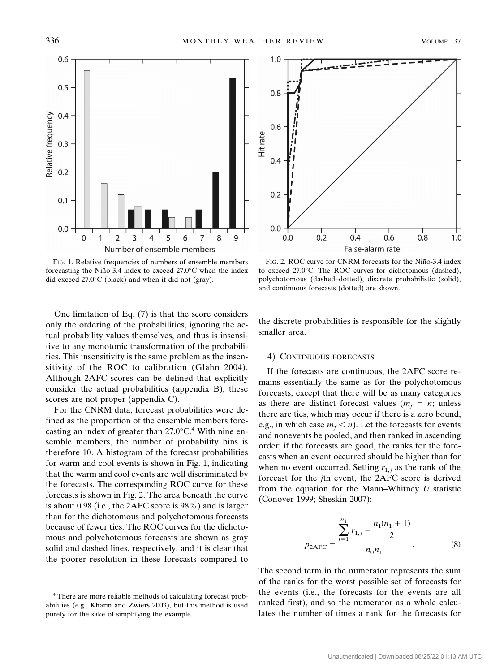

FIG. 1. Relative frequencies of numbers of ensemble members forecasting the Niño-3.4 index to exceed 27.0°C when the index did exceed 27.0°C (black) and when it did not (gray).

One limitation of Eq. (7) is that the score considers only the ordering of the probabilities, ignoring the actual probability values themselves, and thus is insensitive to any monotonic transformation of the probabilities. This insensitivity is the same problem as the insensitivity of the ROC to calibration (Glahn 2004). Although 2AFC scores can be defined that explicitly consider the actual probabilities (appendix B), these scores are not proper (appendix C).

For the CNRM data, forecast probabilities were defined as the proportion of the ensemble members forecasting an index of greater than  $27.0^{\circ}$ C.<sup>4</sup> With nine ensemble members, the number of probability bins is therefore 10. A histogram of the forecast probabilities for warm and cool events is shown in Fig. 1, indicating that the warm and cool events are well discriminated by the forecasts. The corresponding ROC curve for these forecasts is shown in Fig. 2. The area beneath the curve is about 0.98 (i.e., the 2AFC score is 98%) and is larger than for the dichotomous and polychotomous forecasts because of fewer ties. The ROC curves for the dichotomous and polychotomous forecasts are shown as gray solid and dashed lines, respectively, and it is clear that the poorer resolution in these forecasts compared to



FIG. 2. ROC curve for CNRM forecasts for the Niño-3.4 index to exceed 27.0°C. The ROC curves for dichotomous (dashed), polychotomous (dashed–dotted), discrete probabilistic (solid), and continuous forecasts (dotted) are shown.

the discrete probabilities is responsible for the slightly smaller area.

# 4) CONTINUOUS FORECASTS

If the forecasts are continuous, the 2AFC score remains essentially the same as for the polychotomous forecasts, except that there will be as many categories as there are distinct forecast values ( $m_f = n$ ; unless there are ties, which may occur if there is a zero bound, e.g., in which case  $m_f < n$ ). Let the forecasts for events and nonevents be pooled, and then ranked in ascending order; if the forecasts are good, the ranks for the forecasts when an event occurred should be higher than for when no event occurred. Setting  $r_{1,i}$  as the rank of the forecast for the *j*th event, the 2AFC score is derived from the equation for the Mann–Whitney *U* statistic (Conover 1999; Sheskin 2007):

$$
p_{2AFC} = \frac{\sum_{j=1}^{n_1} r_{1,j} - \frac{n_1(n_1+1)}{2}}{n_0 n_1}.
$$
 (8)

The second term in the numerator represents the sum of the ranks for the worst possible set of forecasts for the events (i.e., the forecasts for the events are all ranked first), and so the numerator as a whole calculates the number of times a rank for the forecasts for

<sup>4</sup> There are more reliable methods of calculating forecast probabilities (e.g., Kharin and Zwiers 2003), but this method is used purely for the sake of simplifying the example.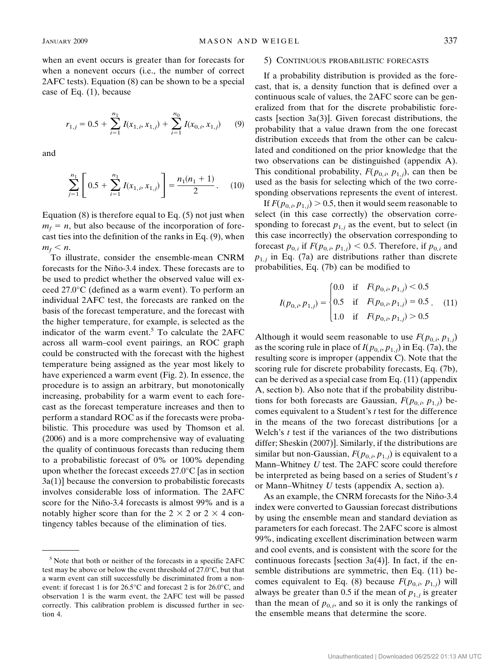when an event occurs is greater than for forecasts for when a nonevent occurs (i.e., the number of correct 2AFC tests). Equation (8) can be shown to be a special case of Eq. (1), because

$$
r_{1,j} = 0.5 + \sum_{i=1}^{n_1} I(x_{1,i}, x_{1,j}) + \sum_{i=1}^{n_0} I(x_{0,i}, x_{1,j})
$$
(9)

and

$$
\sum_{j=1}^{n_1} \left[ 0.5 + \sum_{i=1}^{n_1} I(x_{1,i}, x_{1,j}) \right] = \frac{n_1(n_1 + 1)}{2}.
$$
 (10)

Equation  $(8)$  is therefore equal to Eq.  $(5)$  not just when  $m_f = n$ , but also because of the incorporation of forecast ties into the definition of the ranks in Eq. (9), when  $m_f < n$ .

To illustrate, consider the ensemble-mean CNRM forecasts for the Niño-3.4 index. These forecasts are to be used to predict whether the observed value will exceed 27.0°C (defined as a warm event). To perform an individual 2AFC test, the forecasts are ranked on the basis of the forecast temperature, and the forecast with the higher temperature, for example, is selected as the indicator of the warm event. $5$  To calculate the 2AFC across all warm–cool event pairings, an ROC graph could be constructed with the forecast with the highest temperature being assigned as the year most likely to have experienced a warm event (Fig. 2). In essence, the procedure is to assign an arbitrary, but monotonically increasing, probability for a warm event to each forecast as the forecast temperature increases and then to perform a standard ROC as if the forecasts were probabilistic. This procedure was used by Thomson et al. (2006) and is a more comprehensive way of evaluating the quality of continuous forecasts than reducing them to a probabilistic forecast of 0% or 100% depending upon whether the forecast exceeds 27.0°C [as in section 3a(1)] because the conversion to probabilistic forecasts involves considerable loss of information. The 2AFC score for the Niño-3.4 forecasts is almost 99% and is a notably higher score than for the  $2 \times 2$  or  $2 \times 4$  contingency tables because of the elimination of ties.

#### 5) CONTINUOUS PROBABILISTIC FORECASTS

If a probability distribution is provided as the forecast, that is, a density function that is defined over a continuous scale of values, the 2AFC score can be generalized from that for the discrete probabilistic forecasts [section 3a(3)]. Given forecast distributions, the probability that a value drawn from the one forecast distribution exceeds that from the other can be calculated and conditioned on the prior knowledge that the two observations can be distinguished (appendix A). This conditional probability,  $F(p_{0,i}, p_{1,j})$ , can then be used as the basis for selecting which of the two corresponding observations represents the event of interest.

If  $F(p_{0,i}, p_{1,j}) > 0.5$ , then it would seem reasonable to select (in this case correctly) the observation corresponding to forecast  $p_{1,i}$  as the event, but to select (in this case incorrectly) the observation corresponding to forecast  $p_{0,i}$  if  $F(p_{0,i}, p_{1,j}) < 0.5$ . Therefore, if  $p_{0,i}$  and  $p_{1,i}$  in Eq. (7a) are distributions rather than discrete probabilities, Eq. (7b) can be modified to

$$
I(p_{0,i}, p_{1,j}) = \begin{cases} 0.0 & \text{if } F(p_{0,i}, p_{1,j}) < 0.5 \\ 0.5 & \text{if } F(p_{0,i}, p_{1,j}) = 0.5 \\ 1.0 & \text{if } F(p_{0,i}, p_{1,j}) > 0.5 \end{cases}
$$
 (11)

Although it would seem reasonable to use  $F(p_{0,i}, p_{1,j})$ as the scoring rule in place of  $I(p_{0,i}, p_{1,j})$  in Eq. (7a), the resulting score is improper (appendix C). Note that the scoring rule for discrete probability forecasts, Eq. (7b), can be derived as a special case from Eq. (11) (appendix A, section b). Also note that if the probability distributions for both forecasts are Gaussian,  $F(p_{0,i}, p_{1,j})$  becomes equivalent to a Student's *t* test for the difference in the means of the two forecast distributions [or a Welch's *t* test if the variances of the two distributions differ; Sheskin (2007)]. Similarly, if the distributions are similar but non-Gaussian,  $F(p_{0,i}, p_{1,j})$  is equivalent to a Mann–Whitney *U* test. The 2AFC score could therefore be interpreted as being based on a series of Student's *t* or Mann–Whitney *U* tests (appendix A, section a).

As an example, the CNRM forecasts for the Niño-3.4 index were converted to Gaussian forecast distributions by using the ensemble mean and standard deviation as parameters for each forecast. The 2AFC score is almost 99%, indicating excellent discrimination between warm and cool events, and is consistent with the score for the continuous forecasts [section 3a(4)]. In fact, if the ensemble distributions are symmetric, then Eq. (11) becomes equivalent to Eq. (8) because  $F(p_{0,i}, p_{1,j})$  will always be greater than 0.5 if the mean of  $p_{1,i}$  is greater than the mean of  $p_{0,i}$ , and so it is only the rankings of the ensemble means that determine the score.

<sup>5</sup> Note that both or neither of the forecasts in a specific 2AFC test may be above or below the event threshold of 27.0°C, but that a warm event can still successfully be discriminated from a nonevent: if forecast 1 is for 26.5°C and forecast 2 is for 26.0°C, and observation 1 is the warm event, the 2AFC test will be passed correctly. This calibration problem is discussed further in section 4.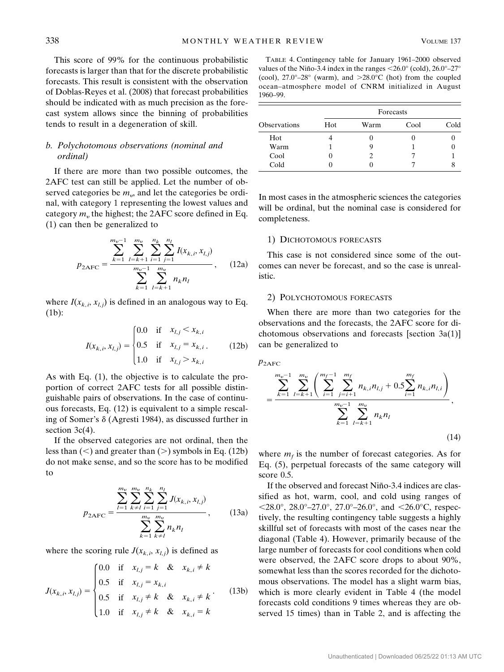This score of 99% for the continuous probabilistic forecasts is larger than that for the discrete probabilistic forecasts. This result is consistent with the observation of Doblas-Reyes et al. (2008) that forecast probabilities should be indicated with as much precision as the forecast system allows since the binning of probabilities tends to result in a degeneration of skill.

## *b. Polychotomous observations (nominal and ordinal)*

If there are more than two possible outcomes, the 2AFC test can still be applied. Let the number of observed categories be  $m_v$ , and let the categories be ordinal, with category 1 representing the lowest values and category  $m<sub>v</sub>$ , the highest; the 2AFC score defined in Eq. (1) can then be generalized to

$$
p_{2AFC} = \frac{\sum_{k=1}^{m_v - 1} \sum_{l=k+1}^{m_v} \sum_{i=1}^{n_k} \sum_{j=1}^{n_l} I(x_{k,i}, x_{l,j})}{\sum_{k=1}^{m_v - 1} \sum_{l=k+1}^{m_v} n_k n_l}, \quad (12a)
$$

where  $I(x_{k,i}, x_{l,j})$  is defined in an analogous way to Eq. (1b):

$$
I(x_{k,i}, x_{l,j}) = \begin{cases} 0.0 & \text{if } x_{l,j} < x_{k,i} \\ 0.5 & \text{if } x_{l,j} = x_{k,i} \\ 1.0 & \text{if } x_{l,j} > x_{k,i} \end{cases} \tag{12b}
$$

As with Eq. (1), the objective is to calculate the proportion of correct 2AFC tests for all possible distinguishable pairs of observations. In the case of continuous forecasts, Eq. (12) is equivalent to a simple rescaling of Somer's  $\delta$  (Agresti 1984), as discussed further in section  $3c(4)$ .

If the observed categories are not ordinal, then the less than  $(<)$  and greater than  $(>)$  symbols in Eq. (12b) do not make sense, and so the score has to be modified to

$$
p_{2\text{AFC}} = \frac{\sum_{l=1}^{m_v} \sum_{k \neq l}^{n_k} \sum_{i=1}^{n_l} J(x_{k,i}, x_{l,j})}{\sum_{k=1}^{m_v} \sum_{k \neq l}^{m_v} n_k n_l}, \qquad (13a)
$$

where the scoring rule  $J(x_{k,i}, x_{l,j})$  is defined as

$$
J(x_{k,i}, x_{l,j}) = \begin{cases} 0.0 & \text{if } x_{l,j} = k \& x_{k,i} \neq k \\ 0.5 & \text{if } x_{l,j} = x_{k,i} \\ 0.5 & \text{if } x_{l,j} \neq k \& x_{k,i} \neq k \\ 1.0 & \text{if } x_{l,j} \neq k \& x_{k,i} = k \end{cases}
$$
(13b)

TABLE 4. Contingency table for January 1961–2000 observed values of the Niño-3.4 index in the ranges 26.0° (cold), 26.0°–27° (cool),  $27.0^{\circ} - 28^{\circ}$  (warm), and  $> 28.0^{\circ}$ C (hot) from the coupled ocean–atmosphere model of CNRM initialized in August 1960–99.

| <b>Observations</b> | Forecasts |      |      |      |
|---------------------|-----------|------|------|------|
|                     | Hot       | Warm | Cool | Cold |
| Hot                 |           |      |      |      |
| Warm                |           |      |      |      |
| Cool                |           |      |      |      |
| Cold                |           |      |      |      |

In most cases in the atmospheric sciences the categories will be ordinal, but the nominal case is considered for completeness.

#### 1) DICHOTOMOUS FORECASTS

This case is not considered since some of the outcomes can never be forecast, and so the case is unrealistic.

### 2) POLYCHOTOMOUS FORECASTS

When there are more than two categories for the observations and the forecasts, the 2AFC score for dichotomous observations and forecasts [section 3a(1)] can be generalized to

 $p_{2AFC}$ 

$$
= \frac{\sum_{k=1}^{m_{v}-1} \sum_{l=k+1}^{m_{v}} \left( \sum_{i=1}^{m_{f}-1} \sum_{j=i+1}^{m_{f}} n_{k,i} n_{l,j} + 0.5 \sum_{i=1}^{m_{f}} n_{k,i} n_{l,i} \right)}{\sum_{k=1}^{m_{v}-1} \sum_{l=k+1}^{m_{v}} n_{k} n_{l}}, \qquad (14)
$$

where  $m_f$  is the number of forecast categories. As for Eq. (5), perpetual forecasts of the same category will score 0.5.

If the observed and forecast Niño-3.4 indices are classified as hot, warm, cool, and cold using ranges of  $\langle 28.0^{\circ}, 28.0^{\circ} - 27.0^{\circ}, 27.0^{\circ} - 26.0^{\circ}, \text{ and } \langle 26.0^{\circ} \text{C}, \text{respect} \rangle$ tively, the resulting contingency table suggests a highly skillful set of forecasts with most of the cases near the diagonal (Table 4). However, primarily because of the large number of forecasts for cool conditions when cold were observed, the 2AFC score drops to about 90%, somewhat less than the scores recorded for the dichotomous observations. The model has a slight warm bias, which is more clearly evident in Table 4 (the model forecasts cold conditions 9 times whereas they are observed 15 times) than in Table 2, and is affecting the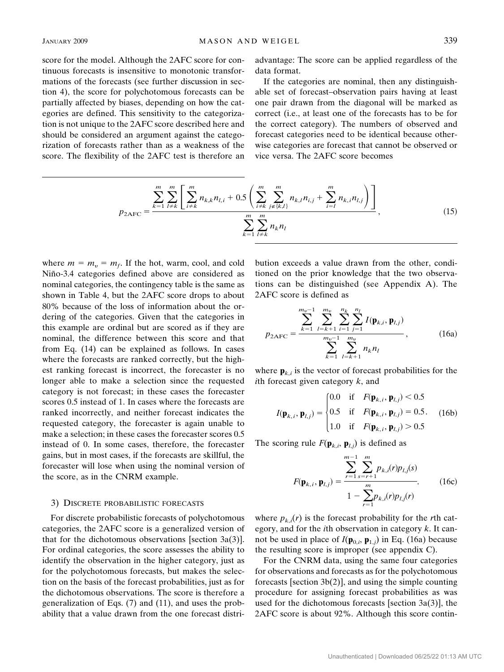score for the model. Although the 2AFC score for continuous forecasts is insensitive to monotonic transformations of the forecasts (see further discussion in section 4), the score for polychotomous forecasts can be partially affected by biases, depending on how the categories are defined. This sensitivity to the categorization is not unique to the 2AFC score described here and should be considered an argument against the categorization of forecasts rather than as a weakness of the score. The flexibility of the 2AFC test is therefore an

advantage: The score can be applied regardless of the data format.

If the categories are nominal, then any distinguishable set of forecast–observation pairs having at least one pair drawn from the diagonal will be marked as correct (i.e., at least one of the forecasts has to be for the correct category). The numbers of observed and forecast categories need to be identical because otherwise categories are forecast that cannot be observed or vice versa. The 2AFC score becomes

$$
p_{2AFC} = \frac{\sum_{k=1}^{m} \sum_{l \neq k}^{m} \left[ \sum_{i \neq k}^{m} n_{k,k} n_{l,i} + 0.5 \left( \sum_{i \neq k}^{m} \sum_{j \notin \{k,l\}}^{m} n_{k,l} n_{i,j} + \sum_{i=l}^{m} n_{k,i} n_{l,j} \right) \right]}{\sum_{k=1}^{m} \sum_{l \neq k}^{m} n_{k} n_{l}},
$$
(15)

where  $m = m_v = m_f$ . If the hot, warm, cool, and cold Niño-3.4 categories defined above are considered as nominal categories, the contingency table is the same as shown in Table 4, but the 2AFC score drops to about 80% because of the loss of information about the ordering of the categories. Given that the categories in this example are ordinal but are scored as if they are nominal, the difference between this score and that from Eq. (14) can be explained as follows. In cases where the forecasts are ranked correctly, but the highest ranking forecast is incorrect, the forecaster is no longer able to make a selection since the requested category is not forecast; in these cases the forecaster scores 0.5 instead of 1. In cases where the forecasts are ranked incorrectly, and neither forecast indicates the requested category, the forecaster is again unable to make a selection; in these cases the forecaster scores 0.5 instead of 0. In some cases, therefore, the forecaster gains, but in most cases, if the forecasts are skillful, the forecaster will lose when using the nominal version of the score, as in the CNRM example.

#### 3) DISCRETE PROBABILISTIC FORECASTS

For discrete probabilistic forecasts of polychotomous categories, the 2AFC score is a generalized version of that for the dichotomous observations [section 3a(3)]. For ordinal categories, the score assesses the ability to identify the observation in the higher category, just as for the polychotomous forecasts, but makes the selection on the basis of the forecast probabilities, just as for the dichotomous observations. The score is therefore a generalization of Eqs. (7) and (11), and uses the probability that a value drawn from the one forecast distribution exceeds a value drawn from the other, conditioned on the prior knowledge that the two observations can be distinguished (see Appendix A). The 2AFC score is defined as

$$
p_{2AFC} = \frac{\sum_{k=1}^{m_v - 1} \sum_{l=k+1}^{m_v} \sum_{i=1}^{n_k} \sum_{j=1}^{n_l} I(\mathbf{p}_{k,i}, \mathbf{p}_{l,j})}{\sum_{k=1}^{m_v - 1} \sum_{l=k+1}^{m_v} n_k n_l},
$$
(16a)

where  $\mathbf{p}_{k,i}$  is the vector of forecast probabilities for the *i*th forecast given category *k*, and

$$
I(\mathbf{p}_{k,i}, \mathbf{p}_{l,j}) = \begin{cases} 0.0 & \text{if} \quad F(\mathbf{p}_{k,i}, \mathbf{p}_{l,j}) < 0.5 \\ 0.5 & \text{if} \quad F(\mathbf{p}_{k,i}, \mathbf{p}_{l,j}) = 0.5. \\ 1.0 & \text{if} \quad F(\mathbf{p}_{k,i}, \mathbf{p}_{l,j}) > 0.5 \end{cases} (16b)
$$

The scoring rule  $F(\mathbf{p}_{k,i}, \mathbf{p}_{l,j})$  is defined as

$$
F(\mathbf{p}_{k,i}, \mathbf{p}_{l,j}) = \frac{\sum_{r=1}^{m-1} \sum_{s=r+1}^{m} p_{k,i}(r) p_{l,j}(s)}{1 - \sum_{r=1}^{m} p_{k,i}(r) p_{l,j}(r)}.
$$
 (16c)

where  $p_{k,i}(r)$  is the forecast probability for the *r*th category, and for the *i*th observation in category *k*. It cannot be used in place of  $I(\mathbf{p}_{0,i}, \mathbf{p}_{1,j})$  in Eq. (16a) because the resulting score is improper (see appendix C).

For the CNRM data, using the same four categories for observations and forecasts as for the polychotomous forecasts [section 3b(2)], and using the simple counting procedure for assigning forecast probabilities as was used for the dichotomous forecasts [section 3a(3)], the 2AFC score is about 92%. Although this score contin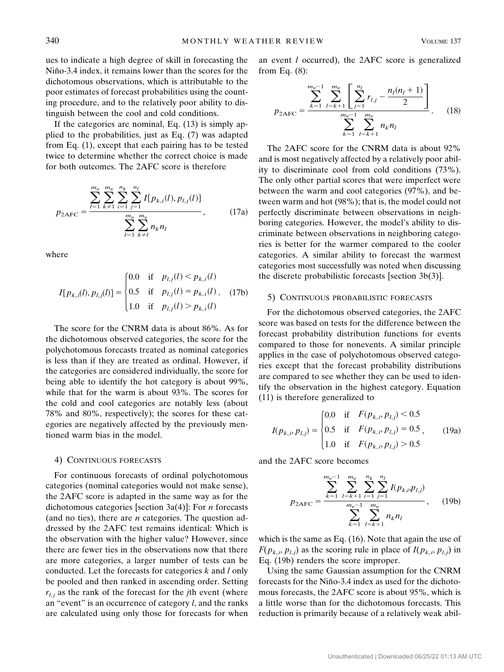ues to indicate a high degree of skill in forecasting the Niño-3.4 index, it remains lower than the scores for the dichotomous observations, which is attributable to the poor estimates of forecast probabilities using the counting procedure, and to the relatively poor ability to distinguish between the cool and cold conditions.

If the categories are nominal, Eq.  $(13)$  is simply applied to the probabilities, just as Eq. (7) was adapted from Eq. (1), except that each pairing has to be tested twice to determine whether the correct choice is made for both outcomes. The 2AFC score is therefore

$$
p_{2\text{AFC}} = \frac{\sum_{l=1}^{m_v} \sum_{k=1}^{m_v} \sum_{i=1}^{n_k} \sum_{j=1}^{n_l} I[p_{k,i}(l), p_{l,j}(l)]}{\sum_{l=1}^{m_v} \sum_{k=1}^{m_v} n_k n_l}, \qquad (17a)
$$

where

$$
I[p_{k,i}(l), p_{l,j}(l)] = \begin{cases} 0.0 & \text{if } p_{l,j}(l) < p_{k,i}(l) \\ 0.5 & \text{if } p_{l,j}(l) = p_{k,i}(l) \\ 1.0 & \text{if } p_{l,j}(l) > p_{k,i}(l) \end{cases} \tag{17b}
$$

The score for the CNRM data is about 86%. As for the dichotomous observed categories, the score for the polychotomous forecasts treated as nominal categories is less than if they are treated as ordinal. However, if the categories are considered individually, the score for being able to identify the hot category is about 99%, while that for the warm is about 93%. The scores for the cold and cool categories are notably less (about 78% and 80%, respectively); the scores for these categories are negatively affected by the previously mentioned warm bias in the model.

### 4) CONTINUOUS FORECASTS

For continuous forecasts of ordinal polychotomous categories (nominal categories would not make sense), the 2AFC score is adapted in the same way as for the dichotomous categories [section 3a(4)]: For *n* forecasts (and no ties), there are *n* categories. The question addressed by the 2AFC test remains identical: Which is the observation with the higher value? However, since there are fewer ties in the observations now that there are more categories, a larger number of tests can be conducted. Let the forecasts for categories *k* and *l* only be pooled and then ranked in ascending order. Setting  $r_{l,i}$  as the rank of the forecast for the *j*th event (where an "event" is an occurrence of category *l*, and the ranks are calculated using only those for forecasts for when an event *l* occurred), the 2AFC score is generalized from Eq.  $(8)$ :

$$
p_{2\text{AFC}} = \frac{\sum_{k=1}^{m_v - 1} \sum_{l=k+1}^{m_v} \left[ \sum_{j=1}^{n_l} r_{l,j} - \frac{n_l(n_l + 1)}{2} \right]}{\sum_{k=1}^{m_v - 1} \sum_{l=k+1}^{m_v} n_k n_l} . \tag{18}
$$

The 2AFC score for the CNRM data is about 92% and is most negatively affected by a relatively poor ability to discriminate cool from cold conditions (73%). The only other partial scores that were imperfect were between the warm and cool categories (97%), and between warm and hot (98%); that is, the model could not perfectly discriminate between observations in neighboring categories. However, the model's ability to discriminate between observations in neighboring categories is better for the warmer compared to the cooler categories. A similar ability to forecast the warmest categories most successfully was noted when discussing the discrete probabilistic forecasts [section 3b(3)].

### 5) CONTINUOUS PROBABILISTIC FORECASTS

For the dichotomous observed categories, the 2AFC score was based on tests for the difference between the forecast probability distribution functions for events compared to those for nonevents. A similar principle applies in the case of polychotomous observed categories except that the forecast probability distributions are compared to see whether they can be used to identify the observation in the highest category. Equation (11) is therefore generalized to

$$
I(p_{k,i}, p_{l,j}) = \begin{cases} 0.0 & \text{if } F(p_{k,i}, p_{l,j}) < 0.5 \\ 0.5 & \text{if } F(p_{k,i}, p_{l,j}) = 0.5 \\ 1.0 & \text{if } F(p_{k,i}, p_{l,j}) > 0.5 \end{cases}
$$
(19a)

and the 2AFC score becomes

$$
p_{2AFC} = \frac{\sum_{k=1}^{m_v - 1} \sum_{l=k+1}^{m_v} \sum_{i=1}^{n_k} \sum_{j=1}^{n_l} I(p_{k,i}, p_{l,j})}{\sum_{k=1}^{m_v - 1} \sum_{l=k+1}^{m_v} n_k n_l}, \quad (19b)
$$

which is the same as Eq. (16). Note that again the use of  $F(p_{k,i}, p_{l,j})$  as the scoring rule in place of  $I(p_{k,i}, p_{l,j})$  in Eq. (19b) renders the score improper.

Using the same Gaussian assumption for the CNRM forecasts for the Niño-3.4 index as used for the dichotomous forecasts, the 2AFC score is about 95%, which is a little worse than for the dichotomous forecasts. This reduction is primarily because of a relatively weak abil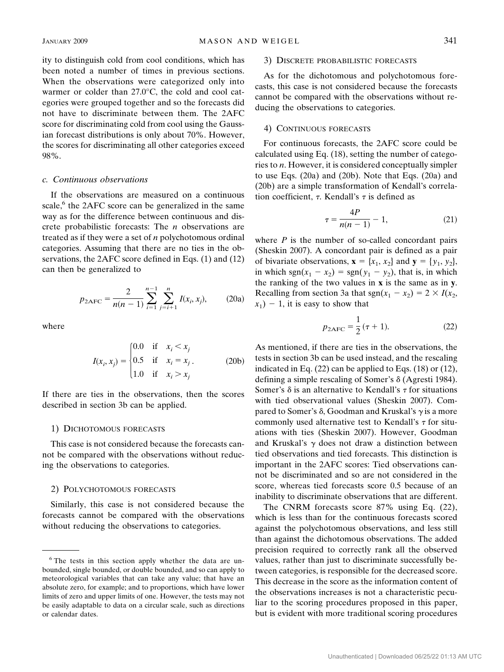ity to distinguish cold from cool conditions, which has been noted a number of times in previous sections. When the observations were categorized only into warmer or colder than 27.0°C, the cold and cool categories were grouped together and so the forecasts did not have to discriminate between them. The 2AFC score for discriminating cold from cool using the Gaussian forecast distributions is only about 70%. However, the scores for discriminating all other categories exceed 98%.

## *c. Continuous observations*

If the observations are measured on a continuous scale, $6$  the 2AFC score can be generalized in the same way as for the difference between continuous and discrete probabilistic forecasts: The *n* observations are treated as if they were a set of *n* polychotomous ordinal categories. Assuming that there are no ties in the observations, the 2AFC score defined in Eqs. (1) and (12) can then be generalized to

$$
p_{2\text{AFC}} = \frac{2}{n(n-1)} \sum_{i=1}^{n-1} \sum_{j=i+1}^{n} I(x_i, x_j), \tag{20a}
$$

where

$$
I(x_i, x_j) = \begin{cases} 0.0 & \text{if } x_i < x_j \\ 0.5 & \text{if } x_i = x_j \\ 1.0 & \text{if } x_i > x_j \end{cases}
$$
 (20b)

If there are ties in the observations, then the scores described in section 3b can be applied.

#### 1) DICHOTOMOUS FORECASTS

This case is not considered because the forecasts cannot be compared with the observations without reducing the observations to categories.

### 2) POLYCHOTOMOUS FORECASTS

Similarly, this case is not considered because the forecasts cannot be compared with the observations without reducing the observations to categories.

#### 3) DISCRETE PROBABILISTIC FORECASTS

As for the dichotomous and polychotomous forecasts, this case is not considered because the forecasts cannot be compared with the observations without reducing the observations to categories.

### 4) CONTINUOUS FORECASTS

For continuous forecasts, the 2AFC score could be calculated using Eq. (18), setting the number of categories to *n*. However, it is considered conceptually simpler to use Eqs. (20a) and (20b). Note that Eqs. (20a) and (20b) are a simple transformation of Kendall's correlation coefficient,  $\tau$ . Kendall's  $\tau$  is defined as

$$
\tau = \frac{4P}{n(n-1)} - 1,\tag{21}
$$

where  $P$  is the number of so-called concordant pairs (Sheskin 2007). A concordant pair is defined as a pair of bivariate observations,  $\mathbf{x} = \{x_1, x_2\}$  and  $\mathbf{y} = \{y_1, y_2\}$ , in which  $sgn(x_1 - x_2) = sgn(y_1 - y_2)$ , that is, in which the ranking of the two values in **x** is the same as in **y**. Recalling from section 3a that  $sgn(x_1 - x_2) = 2 \times I(x_2,$  $(x_1) - 1$ , it is easy to show that

$$
p_{2\text{AFC}} = \frac{1}{2} (\tau + 1). \tag{22}
$$

As mentioned, if there are ties in the observations, the tests in section 3b can be used instead, and the rescaling indicated in Eq. (22) can be applied to Eqs. (18) or (12), defining a simple rescaling of Somer's  $\delta$  (Agresti 1984). Somer's  $\delta$  is an alternative to Kendall's  $\tau$  for situations with tied observational values (Sheskin 2007). Compared to Somer's  $\delta$ , Goodman and Kruskal's  $\gamma$  is a more commonly used alternative test to Kendall's  $\tau$  for situations with ties (Sheskin 2007). However, Goodman and Kruskal's  $\gamma$  does not draw a distinction between tied observations and tied forecasts. This distinction is important in the 2AFC scores: Tied observations cannot be discriminated and so are not considered in the score, whereas tied forecasts score 0.5 because of an inability to discriminate observations that are different.

The CNRM forecasts score 87% using Eq. (22), which is less than for the continuous forecasts scored against the polychotomous observations, and less still than against the dichotomous observations. The added precision required to correctly rank all the observed values, rather than just to discriminate successfully between categories, is responsible for the decreased score. This decrease in the score as the information content of the observations increases is not a characteristic peculiar to the scoring procedures proposed in this paper, but is evident with more traditional scoring procedures

<sup>&</sup>lt;sup>6</sup> The tests in this section apply whether the data are unbounded, single bounded, or double bounded, and so can apply to meteorological variables that can take any value; that have an absolute zero, for example; and to proportions, which have lower limits of zero and upper limits of one. However, the tests may not be easily adaptable to data on a circular scale, such as directions or calendar dates.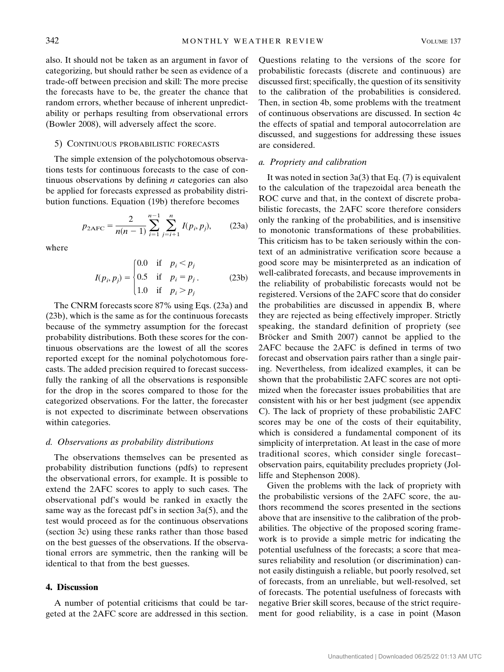also. It should not be taken as an argument in favor of categorizing, but should rather be seen as evidence of a trade-off between precision and skill: The more precise the forecasts have to be, the greater the chance that random errors, whether because of inherent unpredictability or perhaps resulting from observational errors (Bowler 2008), will adversely affect the score.

### 5) CONTINUOUS PROBABILISTIC FORECASTS

The simple extension of the polychotomous observations tests for continuous forecasts to the case of continuous observations by defining *n* categories can also be applied for forecasts expressed as probability distribution functions. Equation (19b) therefore becomes

$$
p_{2\text{AFC}} = \frac{2}{n(n-1)} \sum_{i=1}^{n-1} \sum_{j=i+1}^{n} I(p_i, p_j), \qquad (23a)
$$

where

$$
I(p_i, p_j) = \begin{cases} 0.0 & \text{if } p_i < p_j \\ 0.5 & \text{if } p_i = p_j \\ 1.0 & \text{if } p_i > p_j \end{cases}
$$
 (23b)

The CNRM forecasts score 87% using Eqs. (23a) and (23b), which is the same as for the continuous forecasts because of the symmetry assumption for the forecast probability distributions. Both these scores for the continuous observations are the lowest of all the scores reported except for the nominal polychotomous forecasts. The added precision required to forecast successfully the ranking of all the observations is responsible for the drop in the scores compared to those for the categorized observations. For the latter, the forecaster is not expected to discriminate between observations within categories.

#### *d. Observations as probability distributions*

The observations themselves can be presented as probability distribution functions (pdfs) to represent the observational errors, for example. It is possible to extend the 2AFC scores to apply to such cases. The observational pdf's would be ranked in exactly the same way as the forecast pdf's in section 3a(5), and the test would proceed as for the continuous observations (section 3c) using these ranks rather than those based on the best guesses of the observations. If the observational errors are symmetric, then the ranking will be identical to that from the best guesses.

### **4. Discussion**

A number of potential criticisms that could be targeted at the 2AFC score are addressed in this section. Questions relating to the versions of the score for probabilistic forecasts (discrete and continuous) are discussed first; specifically, the question of its sensitivity to the calibration of the probabilities is considered. Then, in section 4b, some problems with the treatment of continuous observations are discussed. In section 4c the effects of spatial and temporal autocorrelation are discussed, and suggestions for addressing these issues are considered.

#### *a. Propriety and calibration*

It was noted in section  $3a(3)$  that Eq. (7) is equivalent to the calculation of the trapezoidal area beneath the ROC curve and that, in the context of discrete probabilistic forecasts, the 2AFC score therefore considers only the ranking of the probabilities, and is insensitive to monotonic transformations of these probabilities. This criticism has to be taken seriously within the context of an administrative verification score because a good score may be misinterpreted as an indication of well-calibrated forecasts, and because improvements in the reliability of probabilistic forecasts would not be registered. Versions of the 2AFC score that do consider the probabilities are discussed in appendix B, where they are rejected as being effectively improper. Strictly speaking, the standard definition of propriety (see Bröcker and Smith 2007) cannot be applied to the 2AFC because the 2AFC is defined in terms of two forecast and observation pairs rather than a single pairing. Nevertheless, from idealized examples, it can be shown that the probabilistic 2AFC scores are not optimized when the forecaster issues probabilities that are consistent with his or her best judgment (see appendix C). The lack of propriety of these probabilistic 2AFC scores may be one of the costs of their equitability, which is considered a fundamental component of its simplicity of interpretation. At least in the case of more traditional scores, which consider single forecast– observation pairs, equitability precludes propriety (Jolliffe and Stephenson 2008).

Given the problems with the lack of propriety with the probabilistic versions of the 2AFC score, the authors recommend the scores presented in the sections above that are insensitive to the calibration of the probabilities. The objective of the proposed scoring framework is to provide a simple metric for indicating the potential usefulness of the forecasts; a score that measures reliability and resolution (or discrimination) cannot easily distinguish a reliable, but poorly resolved, set of forecasts, from an unreliable, but well-resolved, set of forecasts. The potential usefulness of forecasts with negative Brier skill scores, because of the strict requirement for good reliability, is a case in point (Mason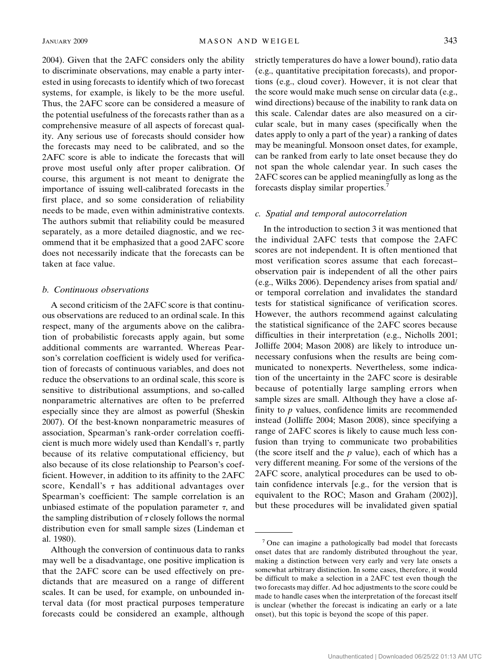2004). Given that the 2AFC considers only the ability to discriminate observations, may enable a party interested in using forecasts to identify which of two forecast systems, for example, is likely to be the more useful. Thus, the 2AFC score can be considered a measure of the potential usefulness of the forecasts rather than as a comprehensive measure of all aspects of forecast quality. Any serious use of forecasts should consider how the forecasts may need to be calibrated, and so the 2AFC score is able to indicate the forecasts that will prove most useful only after proper calibration. Of course, this argument is not meant to denigrate the importance of issuing well-calibrated forecasts in the first place, and so some consideration of reliability needs to be made, even within administrative contexts. The authors submit that reliability could be measured separately, as a more detailed diagnostic, and we recommend that it be emphasized that a good 2AFC score does not necessarily indicate that the forecasts can be taken at face value.

### *b. Continuous observations*

A second criticism of the 2AFC score is that continuous observations are reduced to an ordinal scale. In this respect, many of the arguments above on the calibration of probabilistic forecasts apply again, but some additional comments are warranted. Whereas Pearson's correlation coefficient is widely used for verification of forecasts of continuous variables, and does not reduce the observations to an ordinal scale, this score is sensitive to distributional assumptions, and so-called nonparametric alternatives are often to be preferred especially since they are almost as powerful (Sheskin 2007). Of the best-known nonparametric measures of association, Spearman's rank-order correlation coefficient is much more widely used than Kendall's  $\tau$ , partly because of its relative computational efficiency, but also because of its close relationship to Pearson's coefficient. However, in addition to its affinity to the 2AFC score, Kendall's  $\tau$  has additional advantages over Spearman's coefficient: The sample correlation is an unbiased estimate of the population parameter  $\tau$ , and the sampling distribution of  $\tau$  closely follows the normal distribution even for small sample sizes (Lindeman et al. 1980).

Although the conversion of continuous data to ranks may well be a disadvantage, one positive implication is that the 2AFC score can be used effectively on predictands that are measured on a range of different scales. It can be used, for example, on unbounded interval data (for most practical purposes temperature forecasts could be considered an example, although

strictly temperatures do have a lower bound), ratio data (e.g., quantitative precipitation forecasts), and proportions (e.g., cloud cover). However, it is not clear that the score would make much sense on circular data (e.g., wind directions) because of the inability to rank data on this scale. Calendar dates are also measured on a circular scale, but in many cases (specifically when the dates apply to only a part of the year) a ranking of dates may be meaningful. Monsoon onset dates, for example, can be ranked from early to late onset because they do not span the whole calendar year. In such cases the 2AFC scores can be applied meaningfully as long as the forecasts display similar properties.7

## *c. Spatial and temporal autocorrelation*

In the introduction to section 3 it was mentioned that the individual 2AFC tests that compose the 2AFC scores are not independent. It is often mentioned that most verification scores assume that each forecast– observation pair is independent of all the other pairs (e.g., Wilks 2006). Dependency arises from spatial and/ or temporal correlation and invalidates the standard tests for statistical significance of verification scores. However, the authors recommend against calculating the statistical significance of the 2AFC scores because difficulties in their interpretation (e.g., Nicholls 2001; Jolliffe 2004; Mason 2008) are likely to introduce unnecessary confusions when the results are being communicated to nonexperts. Nevertheless, some indication of the uncertainty in the 2AFC score is desirable because of potentially large sampling errors when sample sizes are small. Although they have a close affinity to *p* values, confidence limits are recommended instead (Jolliffe 2004; Mason 2008), since specifying a range of 2AFC scores is likely to cause much less confusion than trying to communicate two probabilities (the score itself and the *p* value), each of which has a very different meaning. For some of the versions of the 2AFC score, analytical procedures can be used to obtain confidence intervals [e.g., for the version that is equivalent to the ROC; Mason and Graham (2002)], but these procedures will be invalidated given spatial

 $<sup>7</sup>$  One can imagine a pathologically bad model that forecasts</sup> onset dates that are randomly distributed throughout the year, making a distinction between very early and very late onsets a somewhat arbitrary distinction. In some cases, therefore, it would be difficult to make a selection in a 2AFC test even though the two forecasts may differ. Ad hoc adjustments to the score could be made to handle cases when the interpretation of the forecast itself is unclear (whether the forecast is indicating an early or a late onset), but this topic is beyond the scope of this paper.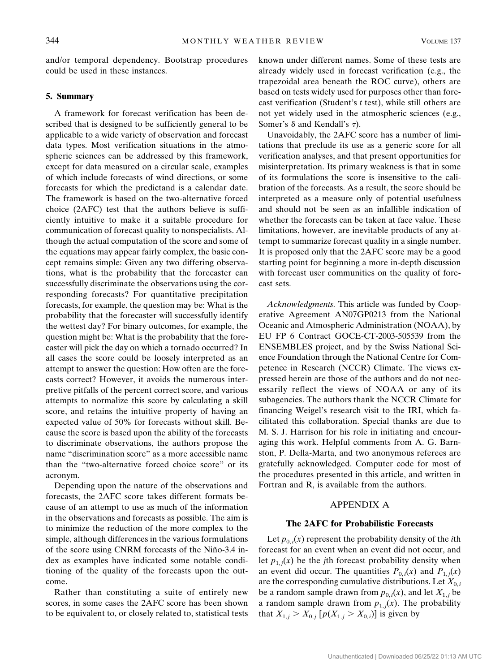and/or temporal dependency. Bootstrap procedures could be used in these instances.

## **5. Summary**

A framework for forecast verification has been described that is designed to be sufficiently general to be applicable to a wide variety of observation and forecast data types. Most verification situations in the atmospheric sciences can be addressed by this framework, except for data measured on a circular scale, examples of which include forecasts of wind directions, or some forecasts for which the predictand is a calendar date. The framework is based on the two-alternative forced choice (2AFC) test that the authors believe is sufficiently intuitive to make it a suitable procedure for communication of forecast quality to nonspecialists. Although the actual computation of the score and some of the equations may appear fairly complex, the basic concept remains simple: Given any two differing observations, what is the probability that the forecaster can successfully discriminate the observations using the corresponding forecasts? For quantitative precipitation forecasts, for example, the question may be: What is the probability that the forecaster will successfully identify the wettest day? For binary outcomes, for example, the question might be: What is the probability that the forecaster will pick the day on which a tornado occurred? In all cases the score could be loosely interpreted as an attempt to answer the question: How often are the forecasts correct? However, it avoids the numerous interpretive pitfalls of the percent correct score, and various attempts to normalize this score by calculating a skill score, and retains the intuitive property of having an expected value of 50% for forecasts without skill. Because the score is based upon the ability of the forecasts to discriminate observations, the authors propose the name "discrimination score" as a more accessible name than the "two-alternative forced choice score" or its acronym.

Depending upon the nature of the observations and forecasts, the 2AFC score takes different formats because of an attempt to use as much of the information in the observations and forecasts as possible. The aim is to minimize the reduction of the more complex to the simple, although differences in the various formulations of the score using CNRM forecasts of the Niño-3.4 index as examples have indicated some notable conditioning of the quality of the forecasts upon the outcome.

Rather than constituting a suite of entirely new scores, in some cases the 2AFC score has been shown to be equivalent to, or closely related to, statistical tests known under different names. Some of these tests are already widely used in forecast verification (e.g., the trapezoidal area beneath the ROC curve), others are based on tests widely used for purposes other than forecast verification (Student's *t* test), while still others are not yet widely used in the atmospheric sciences (e.g., Somer's  $\delta$  and Kendall's  $\tau$ ).

Unavoidably, the 2AFC score has a number of limitations that preclude its use as a generic score for all verification analyses, and that present opportunities for misinterpretation. Its primary weakness is that in some of its formulations the score is insensitive to the calibration of the forecasts. As a result, the score should be interpreted as a measure only of potential usefulness and should not be seen as an infallible indication of whether the forecasts can be taken at face value. These limitations, however, are inevitable products of any attempt to summarize forecast quality in a single number. It is proposed only that the 2AFC score may be a good starting point for beginning a more in-depth discussion with forecast user communities on the quality of forecast sets.

*Acknowledgments.* This article was funded by Cooperative Agreement AN07GP0213 from the National Oceanic and Atmospheric Administration (NOAA), by EU FP 6 Contract GOCE-CT-2003-505539 from the ENSEMBLES project, and by the Swiss National Science Foundation through the National Centre for Competence in Research (NCCR) Climate. The views expressed herein are those of the authors and do not necessarily reflect the views of NOAA or any of its subagencies. The authors thank the NCCR Climate for financing Weigel's research visit to the IRI, which facilitated this collaboration. Special thanks are due to M. S. J. Harrison for his role in initiating and encouraging this work. Helpful comments from A. G. Barnston, P. Della-Marta, and two anonymous referees are gratefully acknowledged. Computer code for most of the procedures presented in this article, and written in Fortran and R, is available from the authors.

## APPENDIX A

### **The 2AFC for Probabilistic Forecasts**

Let  $p_{0,i}(x)$  represent the probability density of the *i*th forecast for an event when an event did not occur, and let  $p_{1,j}(x)$  be the *j*th forecast probability density when an event did occur. The quantities  $P_{0,i}(x)$  and  $P_{1,j}(x)$ are the corresponding cumulative distributions. Let  $X_{0,i}$ be a random sample drawn from  $p_{0,i}(x)$ , and let  $X_{1,j}$  be a random sample drawn from  $p_{1,j}(x)$ . The probability that  $X_{1,j} > X_{0,j} [p(X_{1,j} > X_{0,i})]$  is given by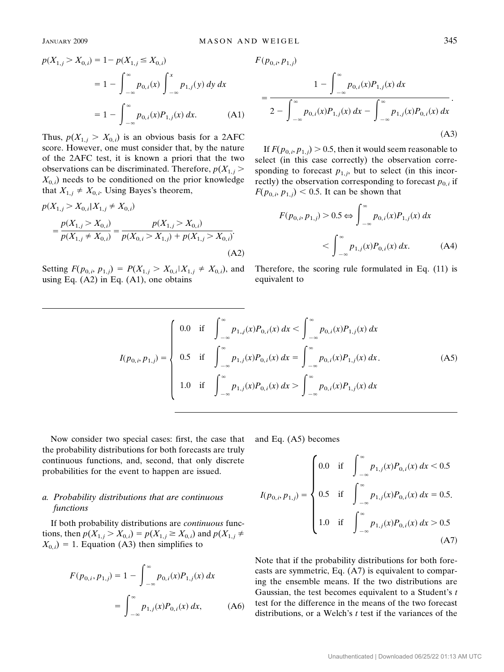*Fp*0,*<sup>i</sup>*

Thus,  $p(X_{1,j} > X_{0,i})$  is an obvious basis for a 2AFC score. However, one must consider that, by the nature of the 2AFC test, it is known a priori that the two observations can be discriminated. Therefore,  $p(X_{1,i}$  $X_{0,i}$ ) needs to be conditioned on the prior knowledge that  $X_{1,j} \neq X_{0,i}$ . Using Bayes's theorem,

$$
p(X_{1,j} > X_{0,i} | X_{1,j} \neq X_{0,i})
$$
  
= 
$$
\frac{p(X_{1,j} > X_{0,i})}{p(X_{1,j} \neq X_{0,i})} = \frac{p(X_{1,j} > X_{0,i})}{p(X_{0,i} > X_{1,j}) + p(X_{1,j} > X_{0,i})}.
$$
  
(A2)

Setting  $F(p_{0,i}, p_{1,j}) = P(X_{1,j} > X_{0,i} | X_{1,j} \neq X_{0,i})$ , and using Eq.  $(A2)$  in Eq.  $(A1)$ , one obtains

$$
(p_{0,i}, p_{1,j})
$$
\n
$$
= \frac{1 - \int_{-\infty}^{\infty} p_{0,i}(x) P_{1,j}(x) dx}{2 - \int_{-\infty}^{\infty} p_{0,i}(x) P_{1,j}(x) dx - \int_{-\infty}^{\infty} p_{1,j}(x) P_{0,i}(x) dx}.
$$
\n(A3)

If  $F(p_{0,i}, p_{1,j}) > 0.5$ , then it would seem reasonable to select (in this case correctly) the observation corresponding to forecast  $p_{1,j}$ , but to select (in this incorrectly) the observation corresponding to forecast  $p_{0,i}$  if  $F(p_{0,i}, p_{1,j})$  < 0.5. It can be shown that

$$
F(p_{0,i}, p_{1,j}) > 0.5 \Leftrightarrow \int_{-\infty}^{\infty} p_{0,i}(x) P_{1,j}(x) dx
$$
  
< 
$$
< \int_{-\infty}^{\infty} p_{1,j}(x) P_{0,i}(x) dx.
$$
 (A4)

Therefore, the scoring rule formulated in Eq. (11) is equivalent to

$$
I(p_{0,i}, p_{1,j}) = \begin{cases} 0.0 & \text{if } \int_{-\infty}^{\infty} p_{1,j}(x) P_{0,i}(x) dx < \int_{-\infty}^{\infty} p_{0,i}(x) P_{1,j}(x) dx \\ 0.5 & \text{if } \int_{-\infty}^{\infty} p_{1,j}(x) P_{0,i}(x) dx = \int_{-\infty}^{\infty} p_{0,i}(x) P_{1,j}(x) dx. \\ 1.0 & \text{if } \int_{-\infty}^{\infty} p_{1,j}(x) P_{0,i}(x) dx > \int_{-\infty}^{\infty} p_{0,i}(x) P_{1,j}(x) dx \end{cases}
$$
(A5)

Now consider two special cases: first, the case that the probability distributions for both forecasts are truly continuous functions, and, second, that only discrete probabilities for the event to happen are issued.

## *a. Probability distributions that are continuous functions*

If both probability distributions are *continuous* functions, then  $p(X_{1,j} > X_{0,i}) = p(X_{1,j} \ge X_{0,i})$  and  $p(X_{1,j} \ne Y_{0,i})$  $X_{0,i}$ ) = 1. Equation (A3) then simplifies to

$$
F(p_{0,i}, p_{1,j}) = 1 - \int_{-\infty}^{\infty} p_{0,i}(x) P_{1,j}(x) dx
$$

$$
= \int_{-\infty}^{\infty} p_{1,j}(x) P_{0,i}(x) dx, \qquad (A6)
$$

and Eq. (A5) becomes

$$
I(p_{0,i}, p_{1,j}) = \begin{cases} 0.0 & \text{if } \int_{-\infty}^{\infty} p_{1,j}(x) P_{0,i}(x) dx < 0.5 \\ 0.5 & \text{if } \int_{-\infty}^{\infty} p_{1,j}(x) P_{0,i}(x) dx = 0.5. \\ 1.0 & \text{if } \int_{-\infty}^{\infty} p_{1,j}(x) P_{0,i}(x) dx > 0.5 \end{cases}
$$
(A7)

Note that if the probability distributions for both forecasts are symmetric, Eq. (A7) is equivalent to comparing the ensemble means. If the two distributions are Gaussian, the test becomes equivalent to a Student's *t* test for the difference in the means of the two forecast distributions, or a Welch's *t* test if the variances of the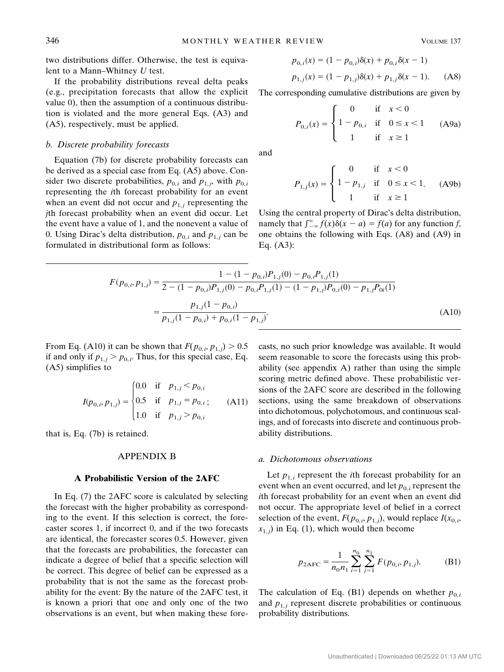two distributions differ. Otherwise, the test is equivalent to a Mann–Whitney *U* test.

If the probability distributions reveal delta peaks (e.g., precipitation forecasts that allow the explicit value 0), then the assumption of a continuous distribution is violated and the more general Eqs. (A3) and (A5), respectively, must be applied.

#### *b. Discrete probability forecasts*

Equation (7b) for discrete probability forecasts can be derived as a special case from Eq. (A5) above. Consider two discrete probabilities,  $p_{0,i}$  and  $p_{1,j}$ , with  $p_{0,i}$ representing the *i*th forecast probability for an event when an event did not occur and  $p_{1,i}$  representing the *j*th forecast probability when an event did occur. Let the event have a value of 1, and the nonevent a value of 0. Using Dirac's delta distribution,  $p_{0,i}$  and  $p_{1,i}$  can be formulated in distributional form as follows:

$$
p_{0,i}(x) = (1 - p_{0,i})\delta(x) + p_{0,i}\delta(x - 1)
$$
  
\n
$$
p_{1,j}(x) = (1 - p_{1,j})\delta(x) + p_{1,j}\delta(x - 1).
$$
 (A8)

The corresponding cumulative distributions are given by

$$
P_{0,i}(x) = \begin{cases} 0 & \text{if } x < 0\\ 1 - p_{0,i} & \text{if } 0 \le x < 1\\ 1 & \text{if } x \ge 1 \end{cases}
$$
 (A9a)

and

$$
P_{1,j}(x) = \begin{cases} 0 & \text{if } x < 0\\ 1 - p_{1,j} & \text{if } 0 \le x < 1.\\ 1 & \text{if } x \ge 1 \end{cases}
$$
 (A9b)

Using the central property of Dirac's delta distribution, namely that  $\int_{-\infty}^{\infty} f(x) \delta(x - a) = f(a)$  for any function *f*, one obtains the following with Eqs. (A8) and (A9) in Eq. (A3):

$$
F(p_{0,i}, p_{1,j}) = \frac{1 - (1 - p_{0,i})P_{1,j}(0) - p_{0,i}P_{1,j}(1)}{2 - (1 - p_{0,i})P_{1,j}(0) - p_{0,i}P_{1,j}(1) - (1 - p_{1,j})P_{0,i}(0) - p_{1,j}P_{0i}(1)}
$$

$$
= \frac{p_{1,j}(1 - p_{0,i})}{p_{1,j}(1 - p_{0,i}) + p_{0,i}(1 - p_{1,j})}.
$$
(A10)

From Eq. (A10) it can be shown that  $F(p_{0,i}, p_{1,j}) > 0.5$ if and only if  $p_{1,j} > p_{0,i}$ . Thus, for this special case, Eq. (A5) simplifies to

$$
I(p_{0,i}, p_{1,j}) = \begin{cases} 0.0 & \text{if } p_{1,j} < p_{0,i} \\ 0.5 & \text{if } p_{1,j} = p_{0,i} \\ 1.0 & \text{if } p_{1,j} > p_{0,i} \end{cases} \tag{A11}
$$

that is, Eq. (7b) is retained.

### APPENDIX B

### **A Probabilistic Version of the 2AFC**

In Eq. (7) the 2AFC score is calculated by selecting the forecast with the higher probability as corresponding to the event. If this selection is correct, the forecaster scores 1, if incorrect 0, and if the two forecasts are identical, the forecaster scores 0.5. However, given that the forecasts are probabilities, the forecaster can indicate a degree of belief that a specific selection will be correct. This degree of belief can be expressed as a probability that is not the same as the forecast probability for the event: By the nature of the 2AFC test, it is known a priori that one and only one of the two observations is an event, but when making these forecasts, no such prior knowledge was available. It would seem reasonable to score the forecasts using this probability (see appendix A) rather than using the simple scoring metric defined above. These probabilistic versions of the 2AFC score are described in the following sections, using the same breakdown of observations into dichotomous, polychotomous, and continuous scalings, and of forecasts into discrete and continuous probability distributions.

# *a. Dichotomous observations*

Let  $p_{1,i}$  represent the *i*th forecast probability for an event when an event occurred, and let  $p_0$ , represent the *i*th forecast probability for an event when an event did not occur. The appropriate level of belief in a correct selection of the event,  $F(p_{0,i}, p_{1,j})$ , would replace  $I(x_{0,i},$  $(x_{1,j})$  in Eq. (1), which would then become

$$
p_{2\text{AFC}} = \frac{1}{n_0 n_1} \sum_{i=1}^{n_0} \sum_{j=1}^{n_1} F(p_{0,i}, p_{1,j}).
$$
 (B1)

The calculation of Eq. (B1) depends on whether  $p_{0,i}$ and  $p_{1,j}$  represent discrete probabilities or continuous probability distributions.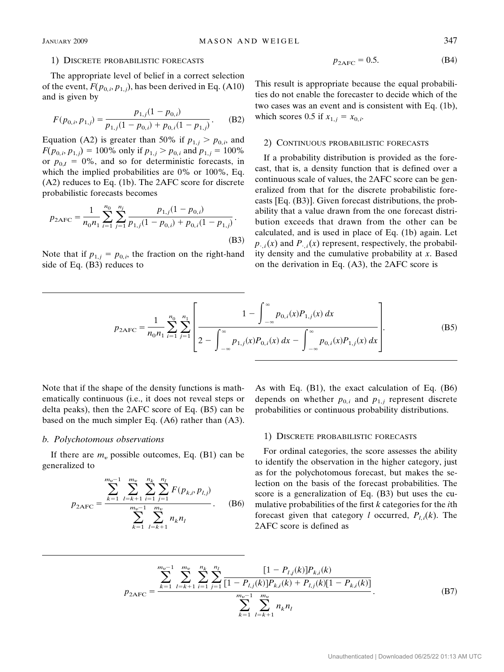#### 1) DISCRETE PROBABILISTIC FORECASTS

The appropriate level of belief in a correct selection of the event,  $F(p_{0,i}, p_{1,j})$ , has been derived in Eq. (A10) and is given by

$$
F(p_{0,i}, p_{1,j}) = \frac{p_{1,j}(1 - p_{0,i})}{p_{1,j}(1 - p_{0,i}) + p_{0,i}(1 - p_{1,j})}.
$$
 (B2)

Equation (A2) is greater than 50% if  $p_{1,j} > p_{0,i}$ , and  $F(p_{0,i}, p_{1,j}) = 100\%$  only if  $p_{1,j} > p_{0,i}$  and  $p_{1,j} = 100\%$ or  $p_{0,I} = 0\%$ , and so for deterministic forecasts, in which the implied probabilities are 0% or 100%, Eq. (A2) reduces to Eq. (1b). The 2AFC score for discrete probabilistic forecasts becomes

$$
p_{2AFC} = \frac{1}{n_0 n_1} \sum_{i=1}^{n_0} \sum_{j=1}^{n_j} \frac{p_{1,j}(1 - p_{0,i})}{p_{1,j}(1 - p_{0,i}) + p_{0,i}(1 - p_{1,j})}.
$$
\n(B3)

Note that if  $p_{1,j} = p_{0,i}$ , the fraction on the right-hand side of Eq. (B3) reduces to

$$
p_{2\text{AFC}} = 0.5. \tag{B4}
$$

This result is appropriate because the equal probabilities do not enable the forecaster to decide which of the two cases was an event and is consistent with Eq. (1b), which scores 0.5 if  $x_{1,j} = x_{0,i}$ .

#### 2) CONTINUOUS PROBABILISTIC FORECASTS

If a probability distribution is provided as the forecast, that is, a density function that is defined over a continuous scale of values, the 2AFC score can be generalized from that for the discrete probabilistic forecasts [Eq. (B3)]. Given forecast distributions, the probability that a value drawn from the one forecast distribution exceeds that drawn from the other can be calculated, and is used in place of Eq. (1b) again. Let  $p_{\cdot i}(x)$  and  $P_{\cdot i}(x)$  represent, respectively, the probability density and the cumulative probability at *x*. Based on the derivation in Eq. (A3), the 2AFC score is

$$
p_{2AFC} = \frac{1}{n_0 n_1} \sum_{i=1}^{n_0} \sum_{j=1}^{n_1} \left[ \frac{1 - \int_{-\infty}^{\infty} p_{0,i}(x) P_{1,j}(x) dx}{2 - \int_{-\infty}^{\infty} p_{1,j}(x) P_{0,i}(x) dx - \int_{-\infty}^{\infty} p_{0,i}(x) P_{1,j}(x) dx} \right].
$$
 (B5)

Note that if the shape of the density functions is mathematically continuous (i.e., it does not reveal steps or delta peaks), then the 2AFC score of Eq. (B5) can be based on the much simpler Eq. (A6) rather than (A3).

## *b. Polychotomous observations*

If there are  $m<sub>v</sub>$  possible outcomes, Eq. (B1) can be generalized to

$$
p_{2AFC} = \frac{\sum_{k=1}^{m_v-1} \sum_{l=k+1}^{m_v} \sum_{i=1}^{n_k} \sum_{j=1}^{n_l} F(p_{k,i}, p_{l,j})}{\sum_{k=1}^{m_v-1} \sum_{l=k+1}^{m_v} n_k n_l}.
$$
 (B6)

As with Eq. (B1), the exact calculation of Eq. (B6) depends on whether  $p_{0,i}$  and  $p_{1,i}$  represent discrete probabilities or continuous probability distributions.

#### 1) DISCRETE PROBABILISTIC FORECASTS

For ordinal categories, the score assesses the ability to identify the observation in the higher category, just as for the polychotomous forecast, but makes the selection on the basis of the forecast probabilities. The score is a generalization of Eq. (B3) but uses the cumulative probabilities of the first *k* categories for the *i*th forecast given that category *l* occurred,  $P_{l,i}(k)$ . The 2AFC score is defined as

$$
p_{2AFC} = \frac{\sum_{k=1}^{m_v - 1} \sum_{l=k+1}^{m_v} \sum_{i=1}^{n_k} \sum_{j=1}^{n_l} \frac{[1 - P_{l,j}(k)] P_{k,i}(k)}{[1 - P_{l,j}(k)] P_{k,i}(k) + P_{l,j}(k)[1 - P_{k,i}(k)]}}{\sum_{k=1}^{m_v - 1} \sum_{l=k+1}^{m_v} n_k n_l}.
$$
 (B7)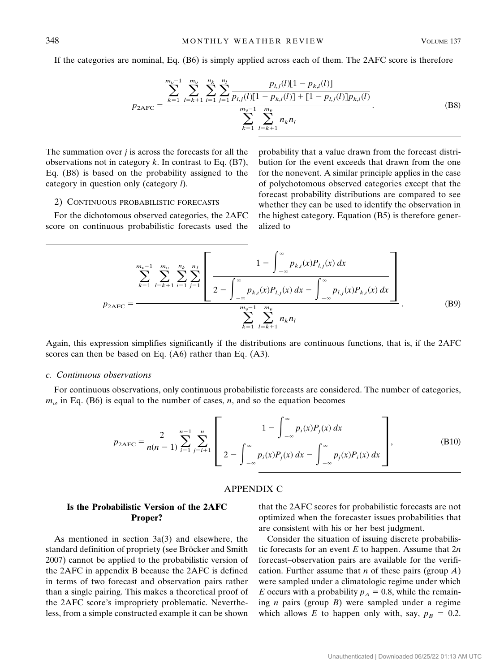If the categories are nominal, Eq. (B6) is simply applied across each of them. The 2AFC score is therefore

$$
p_{2AFC} = \frac{\sum_{k=1}^{m_v-1} \sum_{l=k+1}^{m_v} \sum_{i=1}^{n_k} \sum_{j=1}^{n_l} \frac{p_{l,j}(l)[1 - p_{k,i}(l)]}{p_{l,j}(l)[1 - p_{k,i}(l)] + [1 - p_{l,j}(l)]p_{k,i}(l)}}{\sum_{k=1}^{m_v-1} \sum_{l=k+1}^{m_v} n_k n_l}.
$$
 (B8)

The summation over *j* is across the forecasts for all the observations not in category *k*. In contrast to Eq. (B7), Eq. (B8) is based on the probability assigned to the category in question only (category *l*).

#### 2) CONTINUOUS PROBABILISTIC FORECASTS

For the dichotomous observed categories, the 2AFC score on continuous probabilistic forecasts used the probability that a value drawn from the forecast distribution for the event exceeds that drawn from the one for the nonevent. A similar principle applies in the case of polychotomous observed categories except that the forecast probability distributions are compared to see whether they can be used to identify the observation in the highest category. Equation (B5) is therefore generalized to

$$
\sum_{k=1}^{m_{v}-1} \sum_{l=k+1}^{m_{v}} \sum_{i=1}^{n_{k}} \sum_{j=1}^{n_{l}} \left[ \frac{1 - \int_{-\infty}^{\infty} p_{k,i}(x) P_{l,j}(x) dx}{2 - \int_{-\infty}^{\infty} p_{k,i}(x) P_{l,j}(x) dx - \int_{-\infty}^{\infty} p_{l,j}(x) P_{k,i}(x) dx} \right]
$$
\n
$$
p_{2AFC} = \frac{m_{v} - 1}{\sum_{k=1}^{m_{v}-1} \sum_{l=k+1}^{m_{v}} n_{k} n_{l}}.
$$
\n(B9)

Again, this expression simplifies significantly if the distributions are continuous functions, that is, if the 2AFC scores can then be based on Eq. (A6) rather than Eq. (A3).

### *c. Continuous observations*

For continuous observations, only continuous probabilistic forecasts are considered. The number of categories, *m*, in Eq. (B6) is equal to the number of cases, *n*, and so the equation becomes

$$
p_{2AFC} = \frac{2}{n(n-1)} \sum_{i=1}^{n-1} \sum_{j=i+1}^{n} \left[ \frac{1 - \int_{-\infty}^{\infty} p_i(x) P_j(x) dx}{2 - \int_{-\infty}^{\infty} p_i(x) P_j(x) dx - \int_{-\infty}^{\infty} p_j(x) P_i(x) dx} \right],
$$
(B10)

## APPENDIX C

## **Is the Probabilistic Version of the 2AFC Proper?**

As mentioned in section 3a(3) and elsewhere, the standard definition of propriety (see Bröcker and Smith 2007) cannot be applied to the probabilistic version of the 2AFC in appendix B because the 2AFC is defined in terms of two forecast and observation pairs rather than a single pairing. This makes a theoretical proof of the 2AFC score's impropriety problematic. Nevertheless, from a simple constructed example it can be shown

that the 2AFC scores for probabilistic forecasts are not optimized when the forecaster issues probabilities that are consistent with his or her best judgment.

Consider the situation of issuing discrete probabilistic forecasts for an event *E* to happen. Assume that 2*n* forecast–observation pairs are available for the verification. Further assume that *n* of these pairs (group *A*) were sampled under a climatologic regime under which *E* occurs with a probability  $p_A = 0.8$ , while the remaining *n* pairs (group *B*) were sampled under a regime which allows *E* to happen only with, say,  $p_B = 0.2$ .